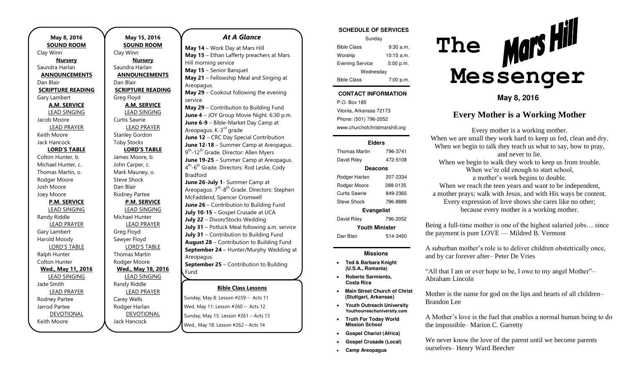**May 8, 2016 SOUND ROOM**  Clay Winn **Nursery**  Saundra Harlan **ANNOUNCEMENTS**  Dan Blair **SCRIPTURE READING**  Gary Lambert **A.M. SERVICE**  LEAD SINGING Jacob Moore LEAD PRAYER Keith Moore Jack Hancock **LORD'S TABLE** Colton Hunter, b. Michael Hunter, c. Thomas Martin, o. Rodger Moore Josh Moore Joey Moore **P.M. SERVICE**  LEAD SINGING Randy Riddle LEAD PRAYER Gary Lambert Harold Moody LORD'S TABLE Ralph Hunter Colton Hunter **Wed., May 11, 2016**  LEAD SINGING Jade Smith LEAD PRAYER Rodney Partee Jarrod Partee DEVOTIONAL Keith Moore

**May 15, 2016 SOUND ROOM**  Clay Winn **Nursery**  Saundra Harlan **ANNOUNCEMENTS**  Dan Blair **SCRIPTURE READING**  Greg Floyd **A.M. SERVICE**  LEAD SINGING Curtis Sawrie LEAD PRAYER Stanley Gordon Toby Stocks **LORD'S TABLE** James Moore, b. John Carper, c. Mark Mauney, o. Steve Shock Dan Blair Rodney Partee **P.M. SERVICE**  LEAD SINGING Michael Hunter LEAD PRAYER Greg Floyd Sawyer Floyd LORD'S TABLE Thomas Martin Rodger Moore **Wed., May 18, 2016**  LEAD SINGING Randy Riddle LEAD PRAYER Carey Wells Rodger Harlan DEVOTIONAL Jack Hancock

### *At A Glance*

**May 14** – Work Day at Mars Hill **May 15** – Ethan Lafferty preachers at Mars Hill morning service **May 15** – Senior Banquet **May 21** – Fellowship Meal and Singing at Areopagus. **May 29** – Cookout following the evening service **May 29** – Contribution to Building Fund **June 4** – JOY Group Movie Night. 6:30 p.m. **June 6-9** – Bible-Market Day Camp at Areopagus. K-3<sup>rd</sup> grade **June 12** – CRC Day Special Contribution **June 12-18** – Summer Camp at Areopagus. 9<sup>th</sup>-12<sup>th</sup> Grade. Director: Allen Myers **June 19-25** – Summer Camp at Areopagus. 4<sup>th</sup>-6<sup>th</sup> Grade. Directors: Rod Leslie, Cody Bradford **June 26-July 1**- Summer Camp at Areopagus.  $7<sup>th</sup> - 8<sup>th</sup>$  Grade. Directors: Stephen McFaddend, Spencer Cromwell **June 26** – Contribution to Building Fund **July 10-15** – Gospel Crusade at UCA **July 22** – Dixon/Stocks Wedding **July 31** – Potluck Meal following a.m. service **July 31** – Contribution to Building Fund **August 28** – Contribution to Building Fund **September 24** – Hunter/Murphy Wedding at Areopagus. **September 25** – Contribution to Building Fund **October 30** – Potluck following a.m. service

### **Bible Class Lessons** –

Sunday, May 8: Lesson #259 – Acts 11 – Wed, May 11: Lesson #260 – Acts 12 Sunday, May 15: Lesson #261 – Acts 13 Wed., May 18: Lesson #262 – Acts 14

| <b>SCHEDULE OF SERVICES</b> |              |  |
|-----------------------------|--------------|--|
| Sunday                      |              |  |
| <b>Bible Class</b>          | 9:30a.m.     |  |
| Worship                     | $10:15$ a.m. |  |
| <b>Evening Service</b>      | 5:00 p.m.    |  |
| Wednesday                   |              |  |
| Bible Class                 | 7:00 p.m.    |  |

### **CONTACT INFORMATION**

P.O. Box 185 Vilonia, Arkansas 72173 Phone: (501) 796-2052 www.churchofchristmarshill.org

#### **Elders**

| <b>Thomas Martin</b>  | 796-3741 |  |
|-----------------------|----------|--|
| David Riley           | 472-5108 |  |
| Deacons               |          |  |
| Rodger Harlan         | 207-2334 |  |
| Rodger Moore          | 288-0135 |  |
| Curtis Sawrie         | 849-2365 |  |
| Steve Shock           | 796-8889 |  |
| Evangelist            |          |  |
| David Riley           | 796-2052 |  |
| <b>Youth Minister</b> |          |  |
| Dan Blair             | 514-3450 |  |

### **Missions**

- **Ted & Barbara Knight (U.S.A., Romania)**
- **Roberto Sarmiento, Costa Rica**
- **Main Street Church of Christ (Stuttgart, Arkansas)**
- **Youth Outreach University Youthourreachuniversity.com**
- **Truth For Today World Mission School**
- **Gospel Chariot (Africa)**
- **Gospel Crusade (Local)**
- **Camp Areopagus**



**May 8, 2016** 

## **Every Mother is a Working Mother**

Every mother is a working mother. When we are small they work hard to keep us fed, clean and dry. When we begin to talk they teach us what to say, how to pray, and never to lie. When we begin to walk they work to keep us from trouble. When we're old enough to start school, a mother's work begins to double. When we reach the teen years and want to be independent, a mother prays; walk with Jesus, and with His ways be content. Every expression of love shows she cares like no other; because every mother is a working mother.

Being a full-time mother is one of the highest salaried jobs… since the payment is pure LOVE — Mildred B. Vermont

A suburban mother's role is to deliver children obstetrically once, and by car forever after– Peter De Vries

"All that I am or ever hope to be, I owe to my angel Mother"– Abraham Lincoln

Mother is the name for god on the lips and hearts of all children– Brandon Lee

A Mother's love is the fuel that enables a normal human being to do the impossible– Marion C. Garretty

We never know the love of the parent until we become parents ourselves– Henry Ward Beecher